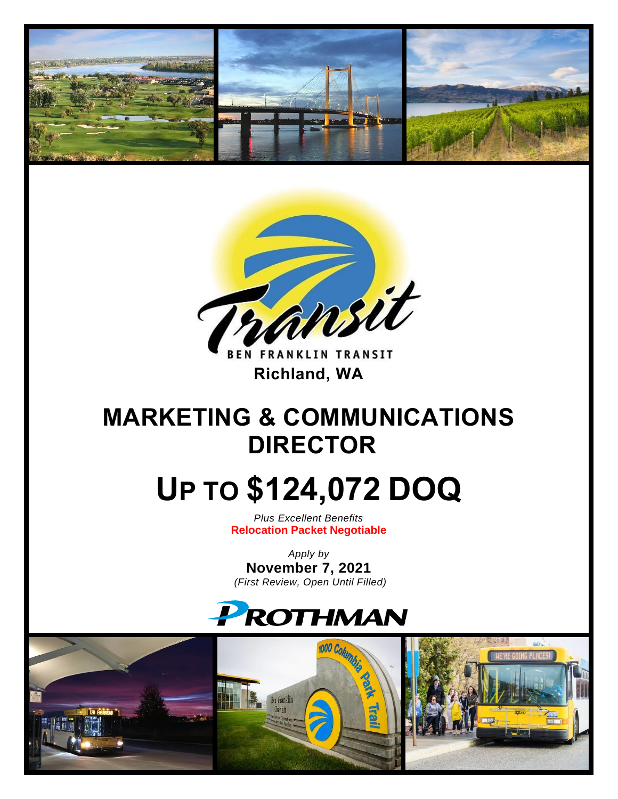



**BEN FRANKLIN TRANSIT** **Richland, WA** 

# **MARKETING & COMMUNICATIONS DIRECTOR**

# **UP TO \$124,072 DOQ**

*Plus Excellent Benefits* **Relocation Packet Negotiable**

*Apply by* **November 7, 2021** *(First Review, Open Until Filled)*



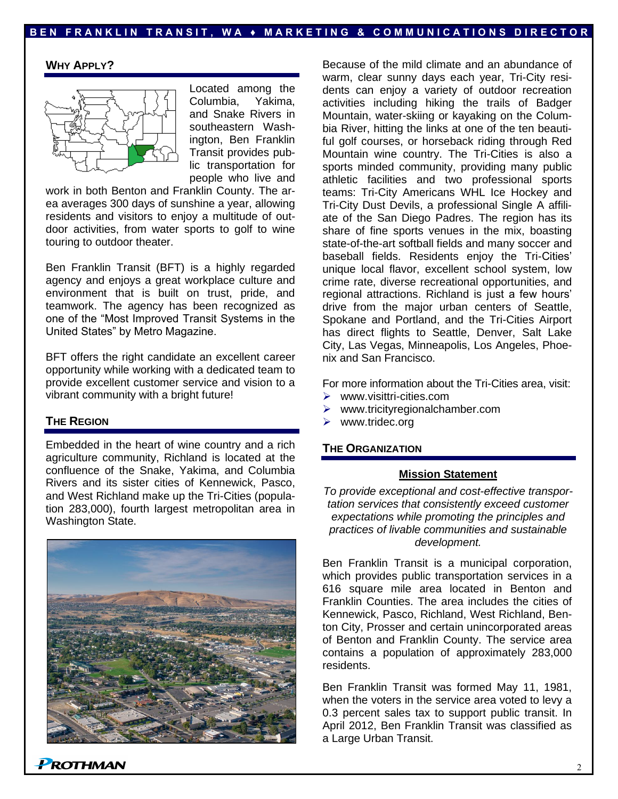# **B E N F R A N K L I N T R A N S I T , W A ♦ M A R K E T I N G & C O M M U N I C A T I O N S D I R E C T O R**

# **WHY APPLY?**



Located among the Columbia, Yakima, and Snake Rivers in southeastern Washington, Ben Franklin Transit provides public transportation for people who live and

work in both Benton and Franklin County. The area averages 300 days of sunshine a year, allowing residents and visitors to enjoy a multitude of outdoor activities, from water sports to golf to wine touring to outdoor theater.

Ben Franklin Transit (BFT) is a highly regarded agency and enjoys a great workplace culture and environment that is built on trust, pride, and teamwork. The agency has been recognized as one of the "Most Improved Transit Systems in the United States" by Metro Magazine.

BFT offers the right candidate an excellent career opportunity while working with a dedicated team to provide excellent customer service and vision to a vibrant community with a bright future!

## **THE REGION**

Embedded in the heart of wine country and a rich agriculture community, Richland is located at the confluence of the Snake, Yakima, and Columbia Rivers and its sister cities of Kennewick, Pasco, and West Richland make up the Tri-Cities (population 283,000), fourth largest metropolitan area in Washington State.



Because of the mild climate and an abundance of warm, clear sunny days each year, Tri-City residents can enjoy a variety of outdoor recreation activities including hiking the trails of Badger Mountain, water-skiing or kayaking on the Columbia River, hitting the links at one of the ten beautiful golf courses, or horseback riding through Red Mountain wine country. The Tri-Cities is also a sports minded community, providing many public athletic facilities and two professional sports teams: Tri-City Americans WHL Ice Hockey and Tri-City Dust Devils, a professional Single A affiliate of the San Diego Padres. The region has its share of fine sports venues in the mix, boasting state-of-the-art softball fields and many soccer and baseball fields. Residents enjoy the Tri-Cities' unique local flavor, excellent school system, low crime rate, diverse recreational opportunities, and regional attractions. Richland is just a few hours' drive from the major urban centers of Seattle, Spokane and Portland, and the Tri-Cities Airport has direct flights to Seattle, Denver, Salt Lake City, Las Vegas, Minneapolis, Los Angeles, Phoenix and San Francisco.

For more information about the Tri-Cities area, visit:

- ➢ www.visittri-cities.com
- ➢ www.tricityregionalchamber.com
- www.tridec.org

#### **THE ORGANIZATION**

#### **Mission Statement**

*To provide exceptional and cost-effective transportation services that consistently exceed customer expectations while promoting the principles and practices of livable communities and sustainable development.*

Ben Franklin Transit is a municipal corporation, which provides public transportation services in a 616 square mile area located in Benton and Franklin Counties. The area includes the cities of Kennewick, Pasco, Richland, West Richland, Benton City, Prosser and certain unincorporated areas of Benton and Franklin County. The service area contains a population of approximately 283,000 residents.

Ben Franklin Transit was formed May 11, 1981, when the voters in the service area voted to levy a 0.3 percent sales tax to support public transit. In April 2012, Ben Franklin Transit was classified as a Large Urban Transit.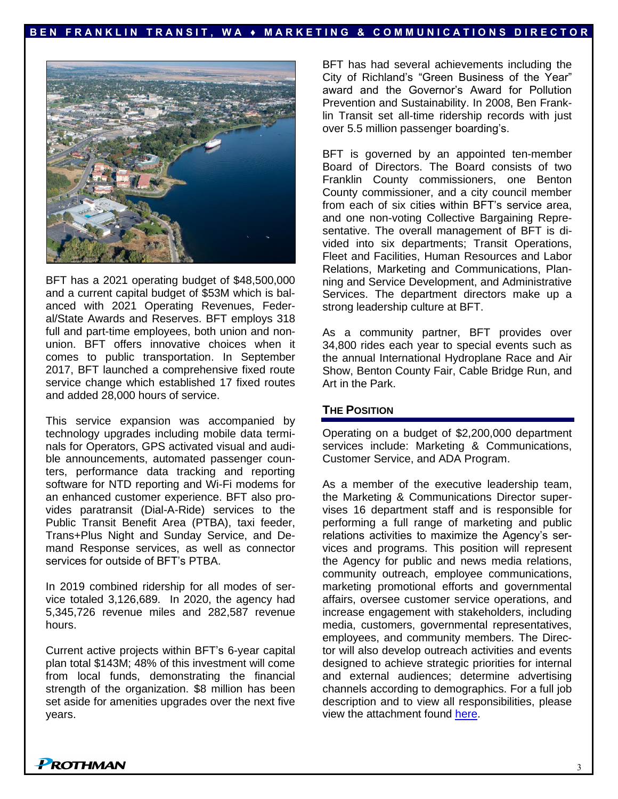# **B E N F R A N K L I N T R A N S I T , W A ♦ M A R K E T I N G & C O M M U N I C A T I O N S D I R E C T O R**



BFT has a 2021 operating budget of \$48,500,000 and a current capital budget of \$53M which is balanced with 2021 Operating Revenues, Federal/State Awards and Reserves. BFT employs 318 full and part-time employees, both union and nonunion. BFT offers innovative choices when it comes to public transportation. In September 2017, BFT launched a comprehensive fixed route service change which established 17 fixed routes and added 28,000 hours of service.

This service expansion was accompanied by technology upgrades including mobile data terminals for Operators, GPS activated visual and audible announcements, automated passenger counters, performance data tracking and reporting software for NTD reporting and Wi-Fi modems for an enhanced customer experience. BFT also provides paratransit (Dial-A-Ride) services to the Public Transit Benefit Area (PTBA), taxi feeder, Trans+Plus Night and Sunday Service, and Demand Response services, as well as connector services for outside of BFT's PTBA.

In 2019 combined ridership for all modes of service totaled 3,126,689. In 2020, the agency had 5,345,726 revenue miles and 282,587 revenue hours.

Current active projects within BFT's 6-year capital plan total \$143M; 48% of this investment will come from local funds, demonstrating the financial strength of the organization. \$8 million has been set aside for amenities upgrades over the next five years.

BFT has had several achievements including the City of Richland's "Green Business of the Year" award and the Governor's Award for Pollution Prevention and Sustainability. In 2008, Ben Franklin Transit set all-time ridership records with just over 5.5 million passenger boarding's.

BFT is governed by an appointed ten-member Board of Directors. The Board consists of two Franklin County commissioners, one Benton County commissioner, and a city council member from each of six cities within BFT's service area, and one non-voting Collective Bargaining Representative. The overall management of BFT is divided into six departments; Transit Operations, Fleet and Facilities, Human Resources and Labor Relations, Marketing and Communications, Planning and Service Development, and Administrative Services. The department directors make up a strong leadership culture at BFT.

As a community partner, BFT provides over 34,800 rides each year to special events such as the annual International Hydroplane Race and Air Show, Benton County Fair, Cable Bridge Run, and Art in the Park.

# **THE POSITION**

Operating on a budget of \$2,200,000 department services include: Marketing & Communications, Customer Service, and ADA Program.

As a member of the executive leadership team, the Marketing & Communications Director supervises 16 department staff and is responsible for performing a full range of marketing and public relations activities to maximize the Agency's services and programs. This position will represent the Agency for public and news media relations, community outreach, employee communications, marketing promotional efforts and governmental affairs, oversee customer service operations, and increase engagement with stakeholders, including media, customers, governmental representatives, employees, and community members. The Director will also develop outreach activities and events designed to achieve strategic priorities for internal and external audiences; determine advertising channels according to demographics. For a full job description and to view all responsibilities, please view the attachment found [here.](https://prothman.com/JobFiles/2912/Director,%20Marketing%20and%20Communications%20_64150.pdf)